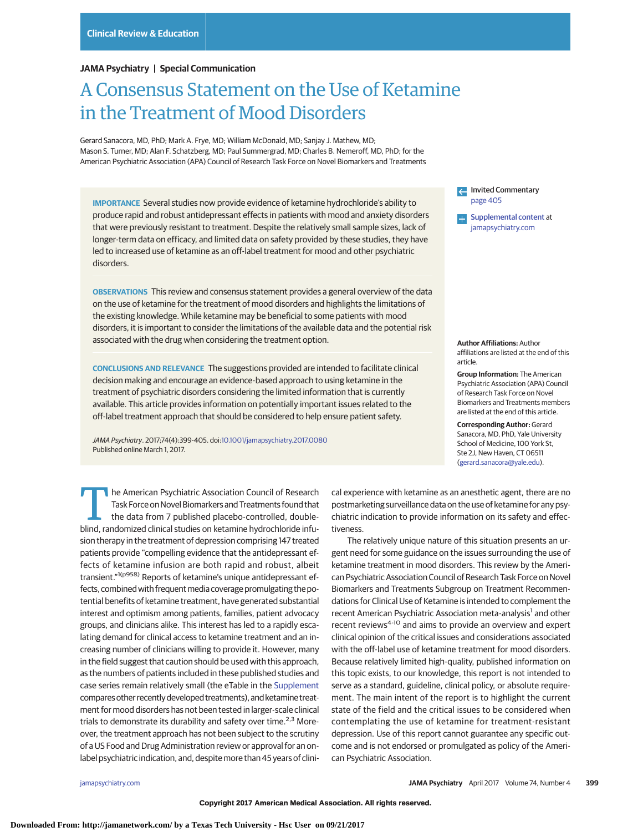### **JAMA Psychiatry | Special Communication**

# A Consensus Statement on the Use of Ketamine in the Treatment of Mood Disorders

Gerard Sanacora, MD, PhD; Mark A. Frye, MD; William McDonald, MD; Sanjay J. Mathew, MD; Mason S. Turner, MD; Alan F. Schatzberg, MD; Paul Summergrad, MD; Charles B. Nemeroff, MD, PhD; for the American Psychiatric Association (APA) Council of Research Task Force on Novel Biomarkers and Treatments

**IMPORTANCE** Several studies now provide evidence of ketamine hydrochloride's ability to produce rapid and robust antidepressant effects in patients with mood and anxiety disorders that were previously resistant to treatment. Despite the relatively small sample sizes, lack of longer-term data on efficacy, and limited data on safety provided by these studies, they have led to increased use of ketamine as an off-label treatment for mood and other psychiatric disorders.

**OBSERVATIONS** This review and consensus statement provides a general overview of the data on the use of ketamine for the treatment of mood disorders and highlights the limitations of the existing knowledge. While ketamine may be beneficial to some patients with mood disorders, it is important to consider the limitations of the available data and the potential risk associated with the drug when considering the treatment option.

**CONCLUSIONS AND RELEVANCE** The suggestions provided are intended to facilitate clinical decision making and encourage an evidence-based approach to using ketamine in the treatment of psychiatric disorders considering the limited information that is currently available. This article provides information on potentially important issues related to the off-label treatment approach that should be considered to help ensure patient safety.

JAMA Psychiatry. 2017;74(4):399-405. doi[:10.1001/jamapsychiatry.2017.0080](http://jama.jamanetwork.com/article.aspx?doi=10.1001/jamapsychiatry.2017.0080&utm_campaign=articlePDF%26utm_medium=articlePDFlink%26utm_source=articlePDF%26utm_content=jamapsychiatry.2017.0080) Published online March 1, 2017.

The American Psychiatric Association Council of Research<br>
Task Force on Novel Biomarkers and Treatments found that<br>
the data from 7 published placebo-controlled, double-<br>
blind randomized clinical studies on ketamine bydro Task Force on Novel Biomarkers and Treatments found that blind, randomized clinical studies on ketamine hydrochloride infusion therapy in the treatment of depression comprising 147 treated patients provide "compelling evidence that the antidepressant effects of ketamine infusion are both rapid and robust, albeit transient."1(p958) Reports of ketamine's unique antidepressant effects, combined with frequent media coverage promulgating the potential benefits of ketamine treatment, have generated substantial interest and optimism among patients, families, patient advocacy groups, and clinicians alike. This interest has led to a rapidly escalating demand for clinical access to ketamine treatment and an increasing number of clinicians willing to provide it. However, many in the field suggest that caution should be used with this approach, as the numbers of patients included in these published studies and case series remain relatively small (the eTable in the [Supplement](http://jama.jamanetwork.com/article.aspx?doi=10.1001/jamapsychiatry.2017.0080&utm_campaign=articlePDF%26utm_medium=articlePDFlink%26utm_source=articlePDF%26utm_content=jamapsychiatry.2017.0080) compares other recently developed treatments), and ketamine treatment for mood disorders has not been tested in larger-scale clinical trials to demonstrate its durability and safety over time.<sup>2,3</sup> Moreover, the treatment approach has not been subject to the scrutiny of a US Food and Drug Administration review or approval for an onlabel psychiatric indication, and, despite more than 45 years of cliniInvited Commentary [page 405](http://jama.jamanetwork.com/article.aspx?doi=10.1001/jamapsychiatry.2017.0078&utm_campaign=articlePDF%26utm_medium=articlePDFlink%26utm_source=articlePDF%26utm_content=jamapsychiatry.2017.0080) [Supplemental content](http://jama.jamanetwork.com/article.aspx?doi=10.1001/jamapsychiatry.2017.0080&utm_campaign=articlePDF%26utm_medium=articlePDFlink%26utm_source=articlePDF%26utm_content=jamapsychiatry.2017.0080) at

[jamapsychiatry.com](http://www.jamapsychiatry.com/?utm_campaign=articlePDF%26utm_medium=articlePDFlink%26utm_source=articlePDF%26utm_content=jamapsychiatry.2017.0080)

**Author Affiliations:** Author affiliations are listed at the end of this article.

**Group Information:** The American Psychiatric Association (APA) Council of Research Task Force on Novel Biomarkers and Treatments members are listed at the end of this article.

**Corresponding Author:** Gerard Sanacora, MD, PhD, Yale University School of Medicine, 100 York St, Ste 2J, New Haven, CT 06511 [\(gerard.sanacora@yale.edu\)](mailto:gerard.sanacora@yale.edu).

cal experience with ketamine as an anesthetic agent, there are no postmarketing surveillance data on the use of ketamine for any psychiatric indication to provide information on its safety and effectiveness.

The relatively unique nature of this situation presents an urgent need for some guidance on the issues surrounding the use of ketamine treatment in mood disorders. This review by the American Psychiatric Association Council of Research Task Force on Novel Biomarkers and Treatments Subgroup on Treatment Recommendations for Clinical Use of Ketamine is intended to complement the recent American Psychiatric Association meta-analysis<sup>1</sup> and other recent reviews<sup>4-10</sup> and aims to provide an overview and expert clinical opinion of the critical issues and considerations associated with the off-label use of ketamine treatment for mood disorders. Because relatively limited high-quality, published information on this topic exists, to our knowledge, this report is not intended to serve as a standard, guideline, clinical policy, or absolute requirement. The main intent of the report is to highlight the current state of the field and the critical issues to be considered when contemplating the use of ketamine for treatment-resistant depression. Use of this report cannot guarantee any specific outcome and is not endorsed or promulgated as policy of the American Psychiatric Association.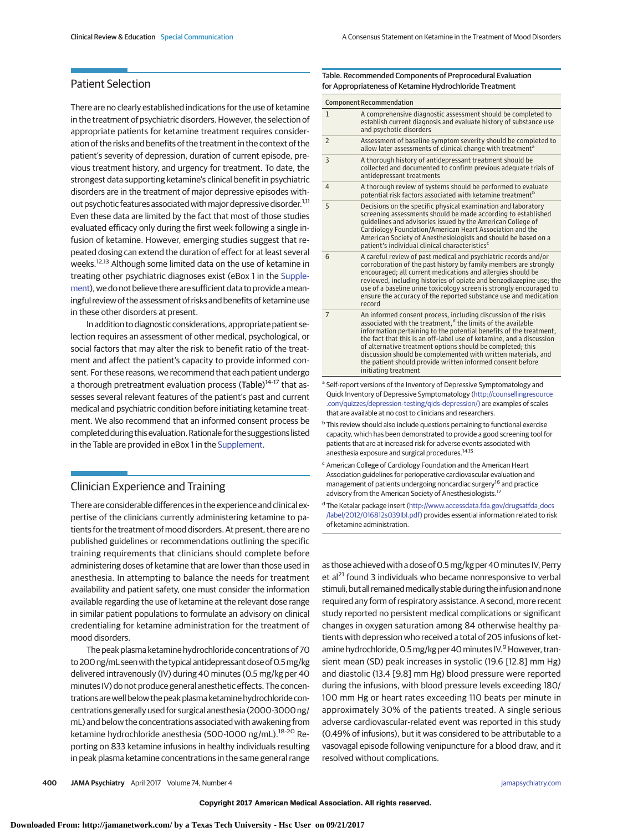# Patient Selection

There are no clearly established indications for the use of ketamine in the treatment of psychiatric disorders. However, the selection of appropriate patients for ketamine treatment requires consideration of the risks and benefits of the treatment in the context of the patient's severity of depression, duration of current episode, previous treatment history, and urgency for treatment. To date, the strongest data supporting ketamine's clinical benefit in psychiatric disorders are in the treatment of major depressive episodes without psychotic features associated with major depressive disorder.<sup>1,11</sup> Even these data are limited by the fact that most of those studies evaluated efficacy only during the first week following a single infusion of ketamine. However, emerging studies suggest that repeated dosing can extend the duration of effect for at least several weeks.<sup>12,13</sup> Although some limited data on the use of ketamine in treating other psychiatric diagnoses exist (eBox 1 in the [Supple](http://jama.jamanetwork.com/article.aspx?doi=10.1001/jamapsychiatry.2017.0080&utm_campaign=articlePDF%26utm_medium=articlePDFlink%26utm_source=articlePDF%26utm_content=jamapsychiatry.2017.0080)[ment\)](http://jama.jamanetwork.com/article.aspx?doi=10.1001/jamapsychiatry.2017.0080&utm_campaign=articlePDF%26utm_medium=articlePDFlink%26utm_source=articlePDF%26utm_content=jamapsychiatry.2017.0080), we do not believe there are sufficient data to provide ameaningful review of the assessment of risks and benefits of ketamine use in these other disorders at present.

In addition to diagnostic considerations, appropriate patient selection requires an assessment of other medical, psychological, or social factors that may alter the risk to benefit ratio of the treatment and affect the patient's capacity to provide informed consent. For these reasons, we recommend that each patient undergo a thorough pretreatment evaluation process (Table)<sup>14-17</sup> that assesses several relevant features of the patient's past and current medical and psychiatric condition before initiating ketamine treatment. We also recommend that an informed consent process be completed during thisevaluation. Rationale for the suggestions listed in the Table are provided in eBox 1 in the [Supplement.](http://jama.jamanetwork.com/article.aspx?doi=10.1001/jamapsychiatry.2017.0080&utm_campaign=articlePDF%26utm_medium=articlePDFlink%26utm_source=articlePDF%26utm_content=jamapsychiatry.2017.0080)

# Clinician Experience and Training

There are considerable differences in the experience and clinical expertise of the clinicians currently administering ketamine to patients for the treatment of mood disorders. At present, there are no published guidelines or recommendations outlining the specific training requirements that clinicians should complete before administering doses of ketamine that are lower than those used in anesthesia. In attempting to balance the needs for treatment availability and patient safety, one must consider the information available regarding the use of ketamine at the relevant dose range in similar patient populations to formulate an advisory on clinical credentialing for ketamine administration for the treatment of mood disorders.

The peak plasma ketamine hydrochloride concentrations of 70 to 200 ng/mL seen with the typical antidepressant dose of 0.5 mg/kg delivered intravenously (IV) during 40 minutes (0.5 mg/kg per 40 minutes IV) do not produce general anesthetic effects. The concentrations arewell below the peak plasma ketamine hydrochloride concentrations generally used for surgical anesthesia (2000-3000 ng/ mL) and below the concentrations associated with awakening from ketamine hydrochloride anesthesia (500-1000 ng/mL).<sup>18-20</sup> Reporting on 833 ketamine infusions in healthy individuals resulting in peak plasma ketamine concentrations in the same general range

| <b>Component Recommendation</b> |                                                                                                                                                                                                                                                                                                                                                                                                                                                                                                              |
|---------------------------------|--------------------------------------------------------------------------------------------------------------------------------------------------------------------------------------------------------------------------------------------------------------------------------------------------------------------------------------------------------------------------------------------------------------------------------------------------------------------------------------------------------------|
| $\mathbf{1}$                    | A comprehensive diagnostic assessment should be completed to<br>establish current diagnosis and evaluate history of substance use<br>and psychotic disorders                                                                                                                                                                                                                                                                                                                                                 |
| $\overline{2}$                  | Assessment of baseline symptom severity should be completed to<br>allow later assessments of clinical change with treatment <sup>a</sup>                                                                                                                                                                                                                                                                                                                                                                     |
| 3                               | A thorough history of antidepressant treatment should be<br>collected and documented to confirm previous adequate trials of<br>antidepressant treatments                                                                                                                                                                                                                                                                                                                                                     |
| 4                               | A thorough review of systems should be performed to evaluate<br>potential risk factors associated with ketamine treatment <sup>b</sup>                                                                                                                                                                                                                                                                                                                                                                       |
| 5                               | Decisions on the specific physical examination and laboratory<br>screening assessments should be made according to established<br>quidelines and advisories issued by the American College of<br>Cardiology Foundation/American Heart Association and the<br>American Society of Anesthesiologists and should be based on a<br>patient's individual clinical characteristics <sup>c</sup>                                                                                                                    |
| 6                               | A careful review of past medical and psychiatric records and/or<br>corroboration of the past history by family members are strongly<br>encouraged; all current medications and allergies should be<br>reviewed, including histories of opiate and benzodiazepine use; the<br>use of a baseline urine toxicology screen is strongly encouraged to<br>ensure the accuracy of the reported substance use and medication<br>record                                                                               |
| $\overline{7}$                  | An informed consent process, including discussion of the risks<br>associated with the treatment, <sup>d</sup> the limits of the available<br>information pertaining to the potential benefits of the treatment.<br>the fact that this is an off-label use of ketamine, and a discussion<br>of alternative treatment options should be completed; this<br>discussion should be complemented with written materials, and<br>the patient should provide written informed consent before<br>initiating treatment |
|                                 | a Self-report versions of the Inventory of Depressive Symptomatology and<br>Quick Inventory of Depressive Symptomatology (http://counsellingresource<br>.com/quizzes/depression-testing/gids-depression/) are examples of scales<br>that are available at no cost to clinicians and researchers.                                                                                                                                                                                                             |

<sup>b</sup> This review should also include questions pertaining to functional exercise capacity, which has been demonstrated to provide a good screening tool for patients that are at increased risk for adverse events associated with anesthesia exposure and surgical procedures.14,15

- <sup>c</sup> American College of Cardiology Foundation and the American Heart Association guidelines for perioperative cardiovascular evaluation and management of patients undergoing noncardiac surgery<sup>16</sup> and practice advisory from the American Society of Anesthesiologists.<sup>17</sup>
- <sup>d</sup> The Ketalar package insert [\(http://www.accessdata.fda.gov/drugsatfda\\_docs](http://www.accessdata.fda.gov/drugsatfda_docs/label/2012/016812s039lbl.pdf) [/label/2012/016812s039lbl.pdf\)](http://www.accessdata.fda.gov/drugsatfda_docs/label/2012/016812s039lbl.pdf) provides essential information related to risk of ketamine administration.

as those achieved with a dose of 0.5 mg/kg per 40 minutes IV, Perry et al<sup>21</sup> found 3 individuals who became nonresponsive to verbal stimuli, but all remained medically stable during the infusion and none required any form of respiratory assistance. A second, more recent study reported no persistent medical complications or significant changes in oxygen saturation among 84 otherwise healthy patients with depression who received a total of 205 infusions of ketamine hydrochloride, 0.5 mg/kg per 40 minutes IV.<sup>9</sup> However, transient mean (SD) peak increases in systolic (19.6 [12.8] mm Hg) and diastolic (13.4 [9.8] mm Hg) blood pressure were reported during the infusions, with blood pressure levels exceeding 180/ 100 mm Hg or heart rates exceeding 110 beats per minute in approximately 30% of the patients treated. A single serious adverse cardiovascular-related event was reported in this study (0.49% of infusions), but it was considered to be attributable to a vasovagal episode following venipuncture for a blood draw, and it resolved without complications.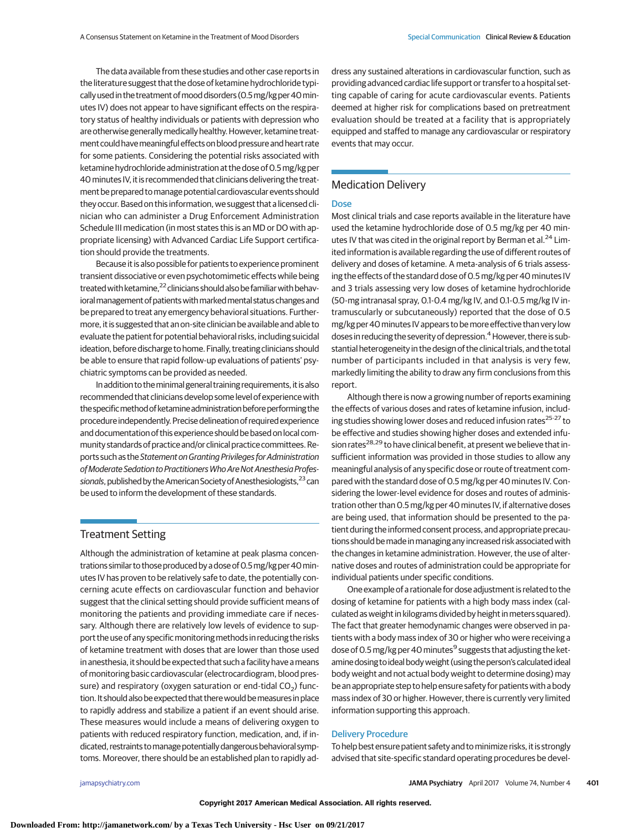The data available from these studies and other case reports in the literature suggest that the dose of ketamine hydrochloride typically used in the treatment ofmood disorders (0.5mg/kg per 40minutes IV) does not appear to have significant effects on the respiratory status of healthy individuals or patients with depression who are otherwise generally medically healthy. However, ketamine treatment could have meaningful effects on blood pressure and heart rate for some patients. Considering the potential risks associated with ketamine hydrochloride administration at the dose of 0.5mg/kg per 40minutes IV, it is recommended that clinicians delivering the treatment be prepared tomanage potential cardiovascular events should they occur. Based on this information, we suggest that a licensed clinician who can administer a Drug Enforcement Administration Schedule III medication (in most states this is an MD or DO with appropriate licensing) with Advanced Cardiac Life Support certification should provide the treatments.

Because it is also possible for patients to experience prominent transient dissociative or even psychotomimetic effects while being treated with ketamine,<sup>22</sup> clinicians should also be familiar with behavioral management of patients with marked mental status changes and be prepared to treat any emergency behavioral situations. Furthermore, it is suggested that an on-site clinician be available and able to evaluate the patient for potential behavioral risks, including suicidal ideation, before discharge to home. Finally, treating clinicians should be able to ensure that rapid follow-up evaluations of patients' psychiatric symptoms can be provided as needed.

In addition to the minimal general training requirements, it is also recommended that clinicians develop some level of experience with the specific method of ketamine administration before performing the procedure independently. Precise delineation of required experience and documentation of this experience should be based on local community standards of practice and/or clinical practice committees. Reports such as the Statement on Granting Privileges for Administration of Moderate Sedation to Practitioners Who Are Not Anesthesia Professionals, published by the American Society of Anesthesiologists,<sup>23</sup> can be used to inform the development of these standards.

## Treatment Setting

Although the administration of ketamine at peak plasma concentrations similar to those produced by a dose of 0.5 mg/kg per 40 minutes IV has proven to be relatively safe to date, the potentially concerning acute effects on cardiovascular function and behavior suggest that the clinical setting should provide sufficient means of monitoring the patients and providing immediate care if necessary. Although there are relatively low levels of evidence to support the use of any specificmonitoringmethods in reducing the risks of ketamine treatment with doses that are lower than those used in anesthesia, it should be expected that such a facility have ameans of monitoring basic cardiovascular (electrocardiogram, blood pressure) and respiratory (oxygen saturation or end-tidal  $CO<sub>2</sub>$ ) function. It should also be expected that there would be measures in place to rapidly address and stabilize a patient if an event should arise. These measures would include a means of delivering oxygen to patients with reduced respiratory function, medication, and, if indicated, restraints tomanage potentially dangerous behavioral symptoms. Moreover, there should be an established plan to rapidly address any sustained alterations in cardiovascular function, such as providing advanced cardiac life support or transfer to a hospital setting capable of caring for acute cardiovascular events. Patients deemed at higher risk for complications based on pretreatment evaluation should be treated at a facility that is appropriately equipped and staffed to manage any cardiovascular or respiratory events that may occur.

# Medication Delivery

#### Dose

Most clinical trials and case reports available in the literature have used the ketamine hydrochloride dose of 0.5 mg/kg per 40 minutes IV that was cited in the original report by Berman et al.<sup>24</sup> Limited information is available regarding the use of different routes of delivery and doses of ketamine. A meta-analysis of 6 trials assessing the effects of the standard dose of 0.5 mg/kg per 40 minutes IV and 3 trials assessing very low doses of ketamine hydrochloride (50-mg intranasal spray, 0.1-0.4 mg/kg IV, and 0.1-0.5 mg/kg IV intramuscularly or subcutaneously) reported that the dose of 0.5 mg/kg per 40minutes IV appears to bemore effective than very low doses in reducing the severity of depression.<sup>4</sup> However, there is substantial heterogeneity in the design of the clinical trials, and the total number of participants included in that analysis is very few, markedly limiting the ability to draw any firm conclusions from this report.

Although there is now a growing number of reports examining the effects of various doses and rates of ketamine infusion, including studies showing lower doses and reduced infusion rates<sup>25-27</sup> to be effective and studies showing higher doses and extended infusion rates<sup>28,29</sup> to have clinical benefit, at present we believe that insufficient information was provided in those studies to allow any meaningful analysis of any specific dose or route of treatment compared with the standard dose of 0.5 mg/kg per 40 minutes IV. Considering the lower-level evidence for doses and routes of administration other than 0.5 mg/kg per 40 minutes IV, if alternative doses are being used, that information should be presented to the patient during the informed consent process, and appropriate precautions should be made in managing any increased risk associated with the changes in ketamine administration. However, the use of alternative doses and routes of administration could be appropriate for individual patients under specific conditions.

One example of a rationale for dose adjustment is related to the dosing of ketamine for patients with a high body mass index (calculated as weight in kilograms divided by height inmeters squared). The fact that greater hemodynamic changes were observed in patients with a body mass index of 30 or higher who were receiving a dose of 0.5 mg/kg per 40 minutes<sup>9</sup> suggests that adjusting the ketamine dosing to ideal bodyweight (using the person's calculated ideal body weight and not actual body weight to determine dosing) may be an appropriate step to help ensure safety for patients with a body mass index of 30 or higher. However, there is currently very limited information supporting this approach.

### Delivery Procedure

To help best ensure patient safety and tominimize risks, it is strongly advised that site-specific standard operating procedures be devel-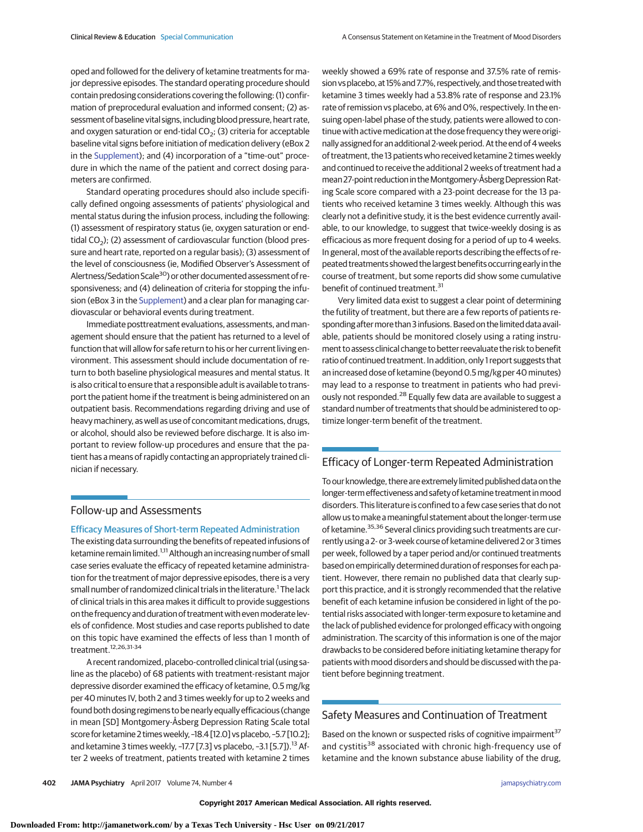oped and followed for the delivery of ketamine treatments for major depressive episodes. The standard operating procedure should contain predosing considerations covering the following: (1) confirmation of preprocedural evaluation and informed consent; (2) assessment of baseline vital signs, including blood pressure, heart rate, and oxygen saturation or end-tidal  $CO<sub>2</sub>$ ; (3) criteria for acceptable baseline vital signs before initiation of medication delivery (eBox 2 in the [Supplement\)](http://jama.jamanetwork.com/article.aspx?doi=10.1001/jamapsychiatry.2017.0080&utm_campaign=articlePDF%26utm_medium=articlePDFlink%26utm_source=articlePDF%26utm_content=jamapsychiatry.2017.0080); and (4) incorporation of a "time-out" procedure in which the name of the patient and correct dosing parameters are confirmed.

Standard operating procedures should also include specifically defined ongoing assessments of patients' physiological and mental status during the infusion process, including the following: (1) assessment of respiratory status (ie, oxygen saturation or endtidal  $CO<sub>2</sub>$ ); (2) assessment of cardiovascular function (blood pressure and heart rate, reported on a regular basis); (3) assessment of the level of consciousness (ie, Modified Observer's Assessment of Alertness/Sedation Scale<sup>30</sup>) or other documented assessment of responsiveness; and (4) delineation of criteria for stopping the infusion (eBox 3 in the [Supplement\)](http://jama.jamanetwork.com/article.aspx?doi=10.1001/jamapsychiatry.2017.0080&utm_campaign=articlePDF%26utm_medium=articlePDFlink%26utm_source=articlePDF%26utm_content=jamapsychiatry.2017.0080) and a clear plan for managing cardiovascular or behavioral events during treatment.

Immediate posttreatment evaluations, assessments, and management should ensure that the patient has returned to a level of function that will allow for safe return to his or her current living environment. This assessment should include documentation of return to both baseline physiological measures and mental status. It is also critical to ensure that a responsible adult is available to transport the patient home if the treatment is being administered on an outpatient basis. Recommendations regarding driving and use of heavy machinery, as well as use of concomitant medications, drugs, or alcohol, should also be reviewed before discharge. It is also important to review follow-up procedures and ensure that the patient has a means of rapidly contacting an appropriately trained clinician if necessary.

## Follow-up and Assessments

#### Efficacy Measures of Short-term Repeated Administration

The existing data surrounding the benefits of repeated infusions of ketamine remain limited.<sup>1,11</sup> Although an increasing number of small case series evaluate the efficacy of repeated ketamine administration for the treatment of major depressive episodes, there is a very small number of randomized clinical trials in the literature.<sup>1</sup> The lack of clinical trials in this area makes it difficult to provide suggestions on the frequency and duration of treatment with evenmoderate levels of confidence. Most studies and case reports published to date on this topic have examined the effects of less than 1 month of treatment.12,26,31-34

A recent randomized, placebo-controlled clinical trial (using saline as the placebo) of 68 patients with treatment-resistant major depressive disorder examined the efficacy of ketamine, 0.5 mg/kg per 40 minutes IV, both 2 and 3 times weekly for up to 2 weeks and found both dosing regimens to be nearly equally efficacious (change in mean [SD] Montgomery-Åsberg Depression Rating Scale total score for ketamine 2 times weekly, -18.4 [12.0] vs placebo, -5.7 [10.2]; and ketamine 3 times weekly,  $-17.7$  [7.3] vs placebo,  $-3.1$  [5.7]).<sup>13</sup> After 2 weeks of treatment, patients treated with ketamine 2 times weekly showed a 69% rate of response and 37.5% rate of remission vs placebo, at 15% and 7.7%, respectively, and those treated with ketamine 3 times weekly had a 53.8% rate of response and 23.1% rate of remission vs placebo, at 6% and 0%, respectively. In the ensuing open-label phase of the study, patients were allowed to continue with active medication at the dose frequency they were originally assigned for an additional 2-week period. At the end of 4 weeks of treatment, the 13 patients who received ketamine 2 times weekly and continued to receive the additional 2 weeks of treatment had a mean 27-point reduction in the Montgomery-Åsberg Depression Rating Scale score compared with a 23-point decrease for the 13 patients who received ketamine 3 times weekly. Although this was clearly not a definitive study, it is the best evidence currently available, to our knowledge, to suggest that twice-weekly dosing is as efficacious as more frequent dosing for a period of up to 4 weeks. In general, most of the available reports describing the effects of repeated treatments showed the largest benefits occurringearly in the course of treatment, but some reports did show some cumulative benefit of continued treatment.<sup>31</sup>

Very limited data exist to suggest a clear point of determining the futility of treatment, but there are a few reports of patients responding after more than 3 infusions. Based on the limited data available, patients should be monitored closely using a rating instrument to assess clinical change to better reevaluate the risk to benefit ratio of continued treatment. In addition, only 1 report suggests that an increased dose of ketamine (beyond 0.5 mg/kg per 40 minutes) may lead to a response to treatment in patients who had previously not responded.<sup>28</sup> Equally few data are available to suggest a standard number of treatments that should be administered to optimize longer-term benefit of the treatment.

# Efficacy of Longer-term Repeated Administration

To our knowledge, there are extremely limited published data on the longer-termeffectiveness and safety of ketamine treatment inmood disorders. This literature is confined to a few case series that do not allow us to make a meaningful statement about the longer-term use of ketamine.<sup>35,36</sup> Several clinics providing such treatments are currently using a 2- or 3-week course of ketamine delivered 2 or 3 times per week, followed by a taper period and/or continued treatments based on empirically determined duration of responses for each patient. However, there remain no published data that clearly support this practice, and it is strongly recommended that the relative benefit of each ketamine infusion be considered in light of the potential risks associated with longer-term exposure to ketamine and the lack of published evidence for prolonged efficacy with ongoing administration. The scarcity of this information is one of the major drawbacks to be considered before initiating ketamine therapy for patients with mood disorders and should be discussed with the patient before beginning treatment.

## Safety Measures and Continuation of Treatment

Based on the known or suspected risks of cognitive impairment<sup>37</sup> and cystitis<sup>38</sup> associated with chronic high-frequency use of ketamine and the known substance abuse liability of the drug,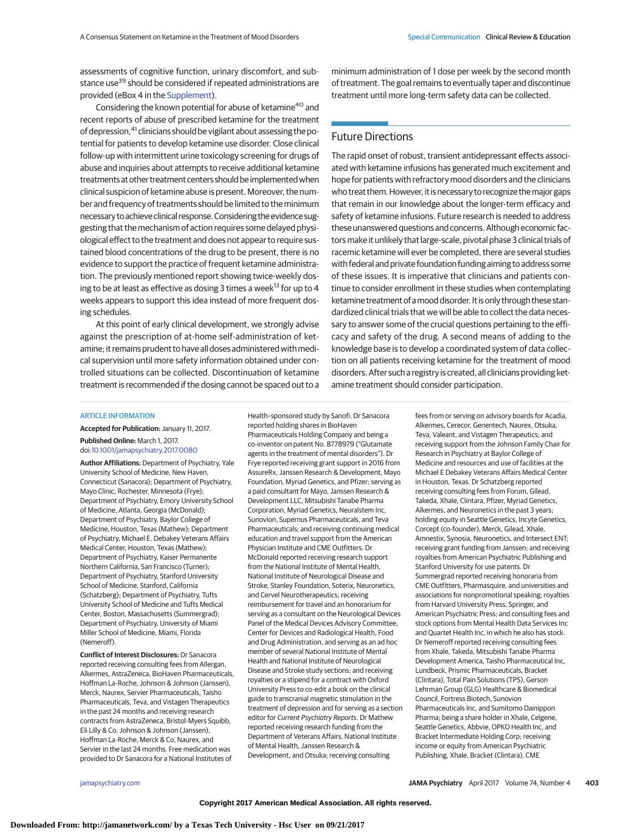assessments of cognitive function, urinary discomfort, and substance use<sup>39</sup> should be considered if repeated administrations are provided (eBox 4 in the [Supplement\)](http://jama.jamanetwork.com/article.aspx?doi=10.1001/jamapsychiatry.2017.0080&utm_campaign=articlePDF%26utm_medium=articlePDFlink%26utm_source=articlePDF%26utm_content=jamapsychiatry.2017.0080).

Considering the known potential for abuse of ketamine<sup>40</sup> and recent reports of abuse of prescribed ketamine for the treatment of depression,<sup>41</sup> clinicians should be vigilant about assessing the potential for patients to develop ketamine use disorder. Close clinical follow-up with intermittent urine toxicology screening for drugs of abuse and inquiries about attempts to receive additional ketamine treatments at other treatment centers should be implementedwhen clinical suspicion of ketamine abuse is present. Moreover, the number and frequency of treatments should be limited to the minimum necessary to achieve clinical response. Considering the evidence suggesting that the mechanism of action requires some delayed physiological effect to the treatment and does not appear to require sustained blood concentrations of the drug to be present, there is no evidence to support the practice of frequent ketamine administration. The previously mentioned report showing twice-weekly dosing to be at least as effective as dosing 3 times a week<sup>13</sup> for up to 4 weeks appears to support this idea instead of more frequent dosing schedules.

At this point of early clinical development, we strongly advise against the prescription of at-home self-administration of ketamine; it remains prudent to have all doses administered withmedical supervision until more safety information obtained under controlled situations can be collected. Discontinuation of ketamine treatment is recommended if the dosing cannot be spaced out to a minimum administration of 1 dose per week by the second month of treatment. The goal remains to eventually taper and discontinue treatment until more long-term safety data can be collected.

## Future Directions

The rapid onset of robust, transient antidepressant effects associated with ketamine infusions has generated much excitement and hope for patients with refractory mood disorders and the clinicians who treat them. However, it is necessary to recognize the major gaps that remain in our knowledge about the longer-term efficacy and safety of ketamine infusions. Future research is needed to address these unanswered questions and concerns. Although economic factors make it unlikely that large-scale, pivotal phase 3 clinical trials of racemic ketamine will ever be completed, there are several studies with federal and private foundation funding aiming to address some of these issues. It is imperative that clinicians and patients continue to consider enrollment in these studies when contemplating ketamine treatment of a mood disorder. It is only through these standardized clinical trials that we will be able to collect the data necessary to answer some of the crucial questions pertaining to the efficacy and safety of the drug. A second means of adding to the knowledge base is to develop a coordinated system of data collection on all patients receiving ketamine for the treatment of mood disorders. After such a registry is created, all clinicians providing ketamine treatment should consider participation.

#### ARTICLE INFORMATION

**Accepted for Publication:** January 11, 2017.

**Published Online:** March 1, 2017. doi[:10.1001/jamapsychiatry.2017.0080](http://jama.jamanetwork.com/article.aspx?doi=10.1001/jamapsychiatry.2017.0080&utm_campaign=articlePDF%26utm_medium=articlePDFlink%26utm_source=articlePDF%26utm_content=jamapsychiatry.2017.0080)

**Author Affiliations:** Department of Psychiatry, Yale University School of Medicine, New Haven, Connecticut (Sanacora); Department of Psychiatry, Mayo Clinic, Rochester, Minnesota (Frye); Department of Psychiatry, Emory University School of Medicine, Atlanta, Georgia (McDonald); Department of Psychiatry, Baylor College of Medicine, Houston, Texas (Mathew); Department of Psychiatry, Michael E. Debakey Veterans Affairs Medical Center, Houston, Texas (Mathew); Department of Psychiatry, Kaiser Permanente Northern California, San Francisco (Turner); Department of Psychiatry, Stanford University School of Medicine, Stanford, California (Schatzberg); Department of Psychiatry, Tufts University School of Medicine and Tufts Medical Center, Boston, Massachusetts (Summergrad); Department of Psychiatry, University of Miami Miller School of Medicine, Miami, Florida (Nemeroff).

**Conflict of Interest Disclosures:** Dr Sanacora reported receiving consulting fees from Allergan, Alkermes, AstraZeneca, BioHaven Pharmaceuticals, Hoffman La-Roche, Johnson & Johnson (Janssen), Merck, Naurex, Servier Pharmaceuticals, Taisho Pharmaceuticals, Teva, and Vistagen Therapeutics in the past 24 months and receiving research contracts from AstraZeneca, Bristol-Myers Squibb, Eli Lilly & Co, Johnson & Johnson (Janssen), Hoffman La-Roche, Merck & Co, Naurex, and Servier in the last 24 months. Free medication was provided to Dr Sanacora for a National Institutes of

Health–sponsored study by Sanofi. Dr Sanacora reported holding shares in BioHaven Pharmaceuticals Holding Company and being a co-inventor on patent No. 8778979 ("Glutamate agents in the treatment of mental disorders"). Dr Frye reported receiving grant support in 2016 from AssureRx, Janssen Research & Development, Mayo Foundation, Myriad Genetics, and Pfizer; serving as a paid consultant for Mayo, Janssen Research & Development LLC, Mitsubishi Tanabe Pharma Corporation, Myriad Genetics, Neuralstem Inc, Sunovion, Supernus Pharmaceuticals, and Teva Pharmaceuticals; and receiving continuing medical education and travel support from the American Physician Institute and CME Outfitters. Dr McDonald reported receiving research support from the National Institute of Mental Health, National Institute of Neurological Disease and Stroke, Stanley Foundation, Soterix, Neuronetics, and Cervel Neurotherapeutics; receiving reimbursement for travel and an honorarium for serving as a consultant on the Neurological Devices Panel of the Medical Devices Advisory Committee, Center for Devices and Radiological Health, Food and Drug Administration, and serving as an ad hoc member of several National Institute of Mental Health and National Institute of Neurological Disease and Stroke study sections; and receiving royalties or a stipend for a contract with Oxford University Press to co-edit a book on the clinical guide to transcranial magnetic stimulation in the treatment of depression and for serving as a section editor for Current Psychiatry Reports. Dr Mathew reported receiving research funding from the Department of Veterans Affairs, National Institute of Mental Health, Janssen Research & Development, and Otsuka; receiving consulting

fees from or serving on advisory boards for Acadia, Alkermes, Cerecor, Genentech, Naurex, Otsuka, Teva, Valeant, and Vistagen Therapeutics; and receiving support from the Johnson Family Chair for Research in Psychiatry at Baylor College of Medicine and resources and use of facilities at the Michael E Debakey Veterans Affairs Medical Center in Houston, Texas. Dr Schatzberg reported receiving consulting fees from Forum, Gilead, Takeda, Xhale, Clintara, Pfizer, Myriad Genetics, Alkermes, and Neuronetics in the past 3 years; holding equity in Seattle Genetics, Incyte Genetics, Corcept (co-founder), Merck, Gilead, Xhale, Amnestix, Synosia, Neuronetics, and Intersect ENT; receiving grant funding from Janssen; and receiving royalties from American Psychiatric Publishing and Stanford University for use patents. Dr Summergrad reported receiving honoraria from CME Outfitters, Pharmasquire, and universities and associations for nonpromotional speaking; royalties from Harvard University Press, Springer, and American Psychiatric Press; and consulting fees and stock options from Mental Health Data Services Inc and Quartet Health Inc, in which he also has stock. Dr Nemeroff reported receiving consulting fees from Xhale, Takeda, Mitsubishi Tanabe Pharma Development America, Taisho Pharmaceutical Inc, Lundbeck, Prismic Pharmaceuticals, Bracket (Clintara), Total Pain Solutions (TPS), Gerson Lehrman Group (GLG) Healthcare & Biomedical Council, Fortress Biotech, Sunovion Pharmaceuticals Inc, and Sumitomo Dainippon Pharma; being a share holder in Xhale, Celgene, Seattle Genetics, Abbvie, OPKO Health Inc, and Bracket Intermediate Holding Corp; receiving income or equity from American Psychiatric Publishing, Xhale, Bracket (Clintara), CME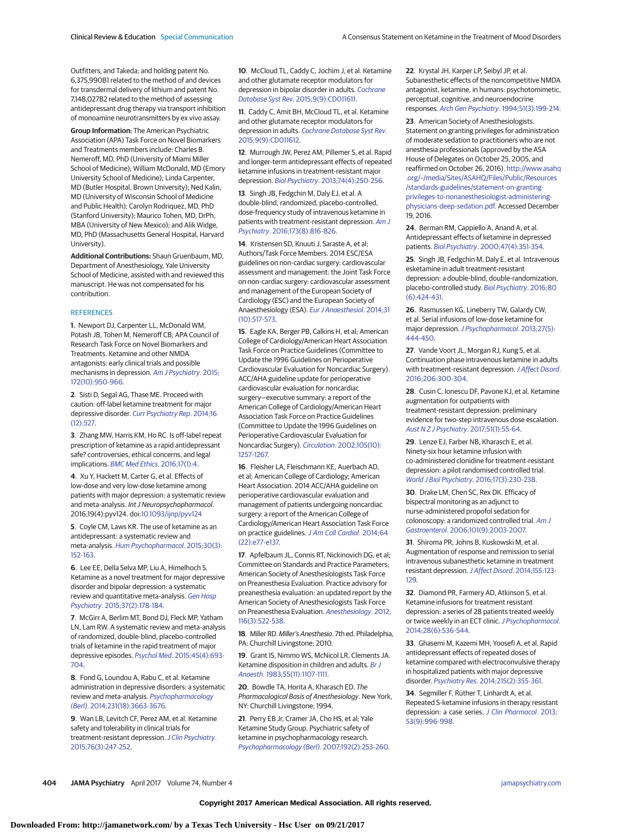Outfitters, and Takeda; and holding patent No. 6,375,990B1 related to the method of and devices for transdermal delivery of lithium and patent No. 7,148,027B2 related to the method of assessing antidepressant drug therapy via transport inhibition of monoamine neurotransmitters by ex vivo assay.

**Group Information:** The American Psychiatric Association (APA) Task Force on Novel Biomarkers and Treatments members include: Charles B. Nemeroff, MD, PhD (University of Miami Miller School of Medicine); William McDonald, MD (Emory University School of Medicine); Linda Carpenter, MD (Butler Hospital, Brown University); Ned Kalin, MD (University of Wisconsin School of Medicine and Public Health); Carolyn Rodriquez, MD, PhD (Stanford University); Maurico Tohen, MD, DrPh, MBA (University of New Mexico); and Alik Widge, MD, PhD (Massachusetts General Hospital, Harvard University).

**Additional Contributions:** Shaun Gruenbaum, MD, Department of Anesthesiology, Yale University School of Medicine, assisted with and reviewed this manuscript. He was not compensated for his contribution.

#### **REFERENCES**

**1**. Newport DJ, Carpenter LL, McDonald WM, Potash JB, Tohen M, Nemeroff CB; APA Council of Research Task Force on Novel Biomarkers and Treatments. Ketamine and other NMDA antagonists: early clinical trials and possible mechanisms in depression. [Am J Psychiatry](https://www.ncbi.nlm.nih.gov/pubmed/26423481). 2015; [172\(10\):950-966.](https://www.ncbi.nlm.nih.gov/pubmed/26423481)

**2**. Sisti D, Segal AG, Thase ME. Proceed with caution: off-label ketamine treatment for major depressive disorder. [Curr Psychiatry Rep](https://www.ncbi.nlm.nih.gov/pubmed/25308395). 2014;16 [\(12\):527.](https://www.ncbi.nlm.nih.gov/pubmed/25308395)

**3**. Zhang MW, Harris KM, Ho RC. Is off-label repeat prescription of ketamine as a rapid antidepressant safe? controversies, ethical concerns, and legal implications. [BMC Med Ethics](https://www.ncbi.nlm.nih.gov/pubmed/26768892). 2016;17(1):4.

**4**. Xu Y, Hackett M, Carter G, et al. Effects of low-dose and very low-dose ketamine among patients with major depression: a systematic review and meta-analysis. Int J Neuropsychopharmacol. 2016;19(4):pyv124. doi[:10.1093/ijnp/pyv124](http://dx.doi.org/10.1093/ijnp/pyv124)

**5**. Coyle CM, Laws KR. The use of ketamine as an antidepressant: a systematic review and meta-analysis. [Hum Psychopharmacol](https://www.ncbi.nlm.nih.gov/pubmed/25847818). 2015;30(3): [152-163.](https://www.ncbi.nlm.nih.gov/pubmed/25847818)

**6**. Lee EE, Della Selva MP, Liu A, Himelhoch S. Ketamine as a novel treatment for major depressive disorder and bipolar depression: a systematic review and quantitative meta-analysis. [Gen Hosp](https://www.ncbi.nlm.nih.gov/pubmed/25698228) Psychiatry[. 2015;37\(2\):178-184.](https://www.ncbi.nlm.nih.gov/pubmed/25698228)

**7**. McGirr A, Berlim MT, Bond DJ, Fleck MP, Yatham LN, Lam RW. A systematic review and meta-analysis of randomized, double-blind, placebo-controlled trials of ketamine in the rapid treatment of major depressive episodes. Psychol Med[. 2015;45\(4\):693-](https://www.ncbi.nlm.nih.gov/pubmed/25010396) [704.](https://www.ncbi.nlm.nih.gov/pubmed/25010396)

**8**. Fond G, Loundou A, Rabu C, et al. Ketamine administration in depressive disorders: a systematic review and meta-analysis. [Psychopharmacology](https://www.ncbi.nlm.nih.gov/pubmed/25038867) (Berl)[. 2014;231\(18\):3663-3676.](https://www.ncbi.nlm.nih.gov/pubmed/25038867)

**9**. Wan LB, Levitch CF, Perez AM, et al. Ketamine safety and tolerability in clinical trials for treatment-resistant depression. [J Clin Psychiatry](https://www.ncbi.nlm.nih.gov/pubmed/25271445). [2015;76\(3\):247-252.](https://www.ncbi.nlm.nih.gov/pubmed/25271445)

**10**. McCloud TL, Caddy C, Jochim J, et al. Ketamine and other glutamate receptor modulators for depression in bipolar disorder in adults. [Cochrane](https://www.ncbi.nlm.nih.gov/pubmed/26415966) Database Syst Rev[. 2015;9\(9\):CD011611.](https://www.ncbi.nlm.nih.gov/pubmed/26415966)

**11**. Caddy C, Amit BH, McCloud TL, et al. Ketamine and other glutamate receptor modulators for depression in adults. [Cochrane Database Syst Rev](https://www.ncbi.nlm.nih.gov/pubmed/26395901). [2015;9\(9\):CD011612.](https://www.ncbi.nlm.nih.gov/pubmed/26395901)

**12**. Murrough JW, Perez AM, Pillemer S, et al. Rapid and longer-term antidepressant effects of repeated ketamine infusions in treatment-resistant major depression. Biol Psychiatry[. 2013;74\(4\):250-256.](https://www.ncbi.nlm.nih.gov/pubmed/22840761)

**13**. Singh JB, Fedgchin M, Daly EJ, et al. A double-blind, randomized, placebo-controlled, dose-frequency study of intravenous ketamine in patients with treatment-resistant depression. [Am J](https://www.ncbi.nlm.nih.gov/pubmed/27056608) Psychiatry[. 2016;173\(8\):816-826.](https://www.ncbi.nlm.nih.gov/pubmed/27056608)

**14**. Kristensen SD, Knuuti J, Saraste A, et al; Authors/Task Force Members. 2014 ESC/ESA guidelines on non-cardiac surgery: cardiovascular assessment and management: the Joint Task Force on non-cardiac surgery: cardiovascular assessment and management of the European Society of Cardiology (ESC) and the European Society of Anaesthesiology (ESA). [Eur J Anaesthesiol](https://www.ncbi.nlm.nih.gov/pubmed/25127426). 2014;31 [\(10\):517-573.](https://www.ncbi.nlm.nih.gov/pubmed/25127426)

**15**. Eagle KA, Berger PB, Calkins H, et al; American College of Cardiology/American Heart Association Task Force on Practice Guidelines (Committee to Update the 1996 Guidelines on Perioperative Cardiovascular Evaluation for Noncardiac Surgery). ACC/AHA guideline update for perioperative cardiovascular evaluation for noncardiac surgery—executive summary: a report of the American College of Cardiology/American Heart Association Task Force on Practice Guidelines (Committee to Update the 1996 Guidelines on Perioperative Cardiovascular Evaluation for Noncardiac Surgery). Circulation[. 2002;105\(10\):](https://www.ncbi.nlm.nih.gov/pubmed/11889023) [1257-1267.](https://www.ncbi.nlm.nih.gov/pubmed/11889023)

**16**. Fleisher LA, Fleischmann KE, Auerbach AD, et al; American College of Cardiology; American Heart Association. 2014 ACC/AHA guideline on perioperative cardiovascular evaluation and management of patients undergoing noncardiac surgery: a report of the American College of Cardiology/American Heart Association Task Force on practice guidelines. [J Am Coll Cardiol](https://www.ncbi.nlm.nih.gov/pubmed/25091544). 2014;64 [\(22\):e77-e137.](https://www.ncbi.nlm.nih.gov/pubmed/25091544)

**17**. Apfelbaum JL, Connis RT, Nickinovich DG, et al; Committee on Standards and Practice Parameters; American Society of Anesthesiologists Task Force on Preanesthesia Evaluation. Practice advisory for preanesthesia evaluation: an updated report by the American Society of Anesthesiologists Task Force on Preanesthesia Evaluation. [Anesthesiology](https://www.ncbi.nlm.nih.gov/pubmed/22273990). 2012; [116\(3\):522-538.](https://www.ncbi.nlm.nih.gov/pubmed/22273990)

**18**. Miller RD. Miller's Anesthesia. 7th ed. Philadelphia, PA: Churchill Livingstone; 2010.

**19**. Grant IS, Nimmo WS, McNicol LR, Clements JA. Ketamine disposition in children and adults. [Br J](https://www.ncbi.nlm.nih.gov/pubmed/6639827) Anaesth[. 1983;55\(11\):1107-1111.](https://www.ncbi.nlm.nih.gov/pubmed/6639827)

**20**. Bowdle TA, Horita A, Kharasch ED. The Pharmacological Basis of Anesthesiology. New York, NY: Churchill Livingstone; 1994.

**21**. Perry EB Jr, Cramer JA, Cho HS, et al; Yale Ketamine Study Group. Psychiatric safety of ketamine in psychopharmacology research. [Psychopharmacology \(Berl\)](https://www.ncbi.nlm.nih.gov/pubmed/17458544). 2007;192(2):253-260. **22**. Krystal JH, Karper LP, Seibyl JP, et al. Subanesthetic effects of the noncompetitive NMDA antagonist, ketamine, in humans: psychotomimetic, perceptual, cognitive, and neuroendocrine responses. Arch Gen Psychiatry[. 1994;51\(3\):199-214.](https://www.ncbi.nlm.nih.gov/pubmed/8122957)

**23**. American Society of Anesthesiologists. Statement on granting privileges for administration of moderate sedation to practitioners who are not anesthesia professionals (approved by the ASA House of Delegates on October 25, 2005, and reaffirmed on October 26, 2016). [http://www.asahq](http://www.asahq.org/~/media/Sites/ASAHQ/Files/Public/Resources/standards-guidelines/statement-on-granting-privileges-to-nonanesthesiologist-administering-physicians-deep-sedation.pdf) [.org/~/media/Sites/ASAHQ/Files/Public/Resources](http://www.asahq.org/~/media/Sites/ASAHQ/Files/Public/Resources/standards-guidelines/statement-on-granting-privileges-to-nonanesthesiologist-administering-physicians-deep-sedation.pdf) [/standards-guidelines/statement-on-granting](http://www.asahq.org/~/media/Sites/ASAHQ/Files/Public/Resources/standards-guidelines/statement-on-granting-privileges-to-nonanesthesiologist-administering-physicians-deep-sedation.pdf)[privileges-to-nonanesthesiologist-administering](http://www.asahq.org/~/media/Sites/ASAHQ/Files/Public/Resources/standards-guidelines/statement-on-granting-privileges-to-nonanesthesiologist-administering-physicians-deep-sedation.pdf)[physicians-deep-sedation.pdf.](http://www.asahq.org/~/media/Sites/ASAHQ/Files/Public/Resources/standards-guidelines/statement-on-granting-privileges-to-nonanesthesiologist-administering-physicians-deep-sedation.pdf) Accessed December 19, 2016.

**24**. Berman RM, Cappiello A, Anand A, et al. Antidepressant effects of ketamine in depressed patients. Biol Psychiatry[. 2000;47\(4\):351-354.](https://www.ncbi.nlm.nih.gov/pubmed/10686270)

**25**. Singh JB, Fedgchin M, Daly E, et al. Intravenous esketamine in adult treatment-resistant depression: a double-blind, double-randomization, placebo-controlled study. [Biol Psychiatry](https://www.ncbi.nlm.nih.gov/pubmed/26707087). 2016;80 [\(6\):424-431.](https://www.ncbi.nlm.nih.gov/pubmed/26707087)

**26**. Rasmussen KG, Lineberry TW, Galardy CW, et al. Serial infusions of low-dose ketamine for major depression. [J Psychopharmacol](https://www.ncbi.nlm.nih.gov/pubmed/23428794). 2013;27(5): [444-450.](https://www.ncbi.nlm.nih.gov/pubmed/23428794)

**27**. Vande Voort JL, Morgan RJ, Kung S, et al. Continuation phase intravenous ketamine in adults with treatment-resistant depression. [J Affect Disord](https://www.ncbi.nlm.nih.gov/pubmed/27656788). [2016;206:300-304.](https://www.ncbi.nlm.nih.gov/pubmed/27656788)

**28**. Cusin C, Ionescu DF, Pavone KJ, et al. Ketamine augmentation for outpatients with treatment-resistant depression: preliminary evidence for two-step intravenous dose escalation. [Aust N Z J Psychiatry](https://www.ncbi.nlm.nih.gov/pubmed/26893373). 2017;51(1):55-64.

**29**. Lenze EJ, Farber NB, Kharasch E, et al. Ninety-six hour ketamine infusion with co-administered clonidine for treatment-resistant depression: a pilot randomised controlled trial. [World J Biol Psychiatry](https://www.ncbi.nlm.nih.gov/pubmed/26919405). 2016;17(3):230-238.

**30**. Drake LM, Chen SC, Rex DK. Efficacy of bispectral monitoring as an adjunct to nurse-administered propofol sedation for colonoscopy: a randomized controlled trial. [Am J](https://www.ncbi.nlm.nih.gov/pubmed/16968506) Gastroenterol[. 2006;101\(9\):2003-2007.](https://www.ncbi.nlm.nih.gov/pubmed/16968506)

**31**. Shiroma PR, Johns B, Kuskowski M, et al. Augmentation of response and remission to serial intravenous subanesthetic ketamine in treatment resistant depression.J Affect Disord[. 2014;155:123-](https://www.ncbi.nlm.nih.gov/pubmed/24268616) [129.](https://www.ncbi.nlm.nih.gov/pubmed/24268616)

**32**. Diamond PR, Farmery AD, Atkinson S, et al. Ketamine infusions for treatment resistant depression: a series of 28 patients treated weekly or twice weekly in an ECT clinic. [J Psychopharmacol](https://www.ncbi.nlm.nih.gov/pubmed/24699062). [2014;28\(6\):536-544.](https://www.ncbi.nlm.nih.gov/pubmed/24699062)

**33**. Ghasemi M, Kazemi MH, Yoosefi A, et al. Rapid antidepressant effects of repeated doses of ketamine compared with electroconvulsive therapy in hospitalized patients with major depressive disorder. Psychiatry Res[. 2014;215\(2\):355-361.](https://www.ncbi.nlm.nih.gov/pubmed/24374115)

**34**. Segmiller F, Rüther T, Linhardt A, et al. Repeated S-ketamine infusions in therapy resistant depression: a case series. [J Clin Pharmacol](https://www.ncbi.nlm.nih.gov/pubmed/23893490). 2013; [53\(9\):996-998.](https://www.ncbi.nlm.nih.gov/pubmed/23893490)